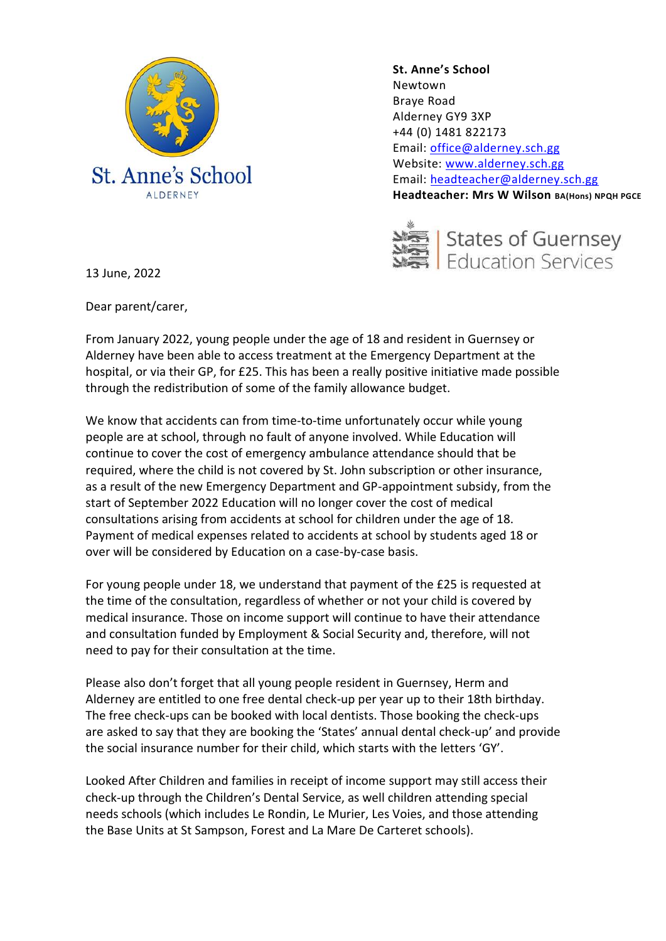

**St. Anne's School**  Newtown Braye Road Alderney GY9 3XP +44 (0) 1481 822173 Email: [office@alderney.sch.gg](mailto:office@alderney.sch.gg) Website: [www.alderney.sch.gg](http://www.alderney.sch.gg/) Email: [headteacher@alderney.sch.gg](mailto:headteacher@alderney.sch.gg) **Headteacher: Mrs W Wilson BA(Hons) NPQH PGCE**



13 June, 2022

Dear parent/carer,

From January 2022, young people under the age of 18 and resident in Guernsey or Alderney have been able to access treatment at the Emergency Department at the hospital, or via their GP, for £25. This has been a really positive initiative made possible through the redistribution of some of the family allowance budget.

We know that accidents can from time-to-time unfortunately occur while young people are at school, through no fault of anyone involved. While Education will continue to cover the cost of emergency ambulance attendance should that be required, where the child is not covered by St. John subscription or other insurance, as a result of the new Emergency Department and GP-appointment subsidy, from the start of September 2022 Education will no longer cover the cost of medical consultations arising from accidents at school for children under the age of 18. Payment of medical expenses related to accidents at school by students aged 18 or over will be considered by Education on a case-by-case basis.

For young people under 18, we understand that payment of the £25 is requested at the time of the consultation, regardless of whether or not your child is covered by medical insurance. Those on income support will continue to have their attendance and consultation funded by Employment & Social Security and, therefore, will not need to pay for their consultation at the time.

Please also don't forget that all young people resident in Guernsey, Herm and Alderney are entitled to one free dental check-up per year up to their 18th birthday. The free check-ups can be booked with local dentists. Those booking the check-ups are asked to say that they are booking the 'States' annual dental check-up' and provide the social insurance number for their child, which starts with the letters 'GY'.

Looked After Children and families in receipt of income support may still access their check-up through the Children's Dental Service, as well children attending special needs schools (which includes Le Rondin, Le Murier, Les Voies, and those attending the Base Units at St Sampson, Forest and La Mare De Carteret schools).